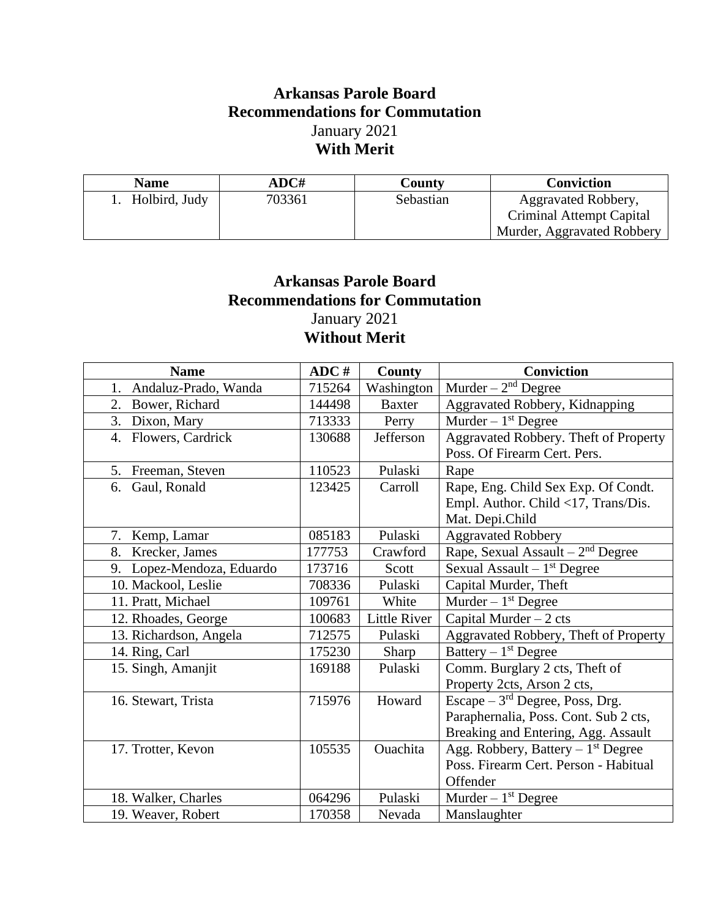## **Arkansas Parole Board Recommendations for Commutation** January 2021 **With Merit**

| <b>Name</b>   | ADC#   | County    | <b>Conviction</b>          |
|---------------|--------|-----------|----------------------------|
| Holbird, Judy | 703361 | Sebastian | Aggravated Robbery,        |
|               |        |           | Criminal Attempt Capital   |
|               |        |           | Murder, Aggravated Robbery |

## **Arkansas Parole Board Recommendations for Commutation** January 2021 **Without Merit**

| <b>Name</b>                | ADC#   | County        | <b>Conviction</b>                     |
|----------------------------|--------|---------------|---------------------------------------|
| Andaluz-Prado, Wanda<br>1. | 715264 | Washington    | Murder $-2nd$ Degree                  |
| 2.<br>Bower, Richard       | 144498 | <b>Baxter</b> | Aggravated Robbery, Kidnapping        |
| 3. Dixon, Mary             | 713333 | Perry         | Murder $-1st$ Degree                  |
| 4. Flowers, Cardrick       | 130688 | Jefferson     | Aggravated Robbery. Theft of Property |
|                            |        |               | Poss. Of Firearm Cert. Pers.          |
| 5.<br>Freeman, Steven      | 110523 | Pulaski       | Rape                                  |
| Gaul, Ronald<br>6.         | 123425 | Carroll       | Rape, Eng. Child Sex Exp. Of Condt.   |
|                            |        |               | Empl. Author. Child <17, Trans/Dis.   |
|                            |        |               | Mat. Depi.Child                       |
| 7. Kemp, Lamar             | 085183 | Pulaski       | <b>Aggravated Robbery</b>             |
| 8. Krecker, James          | 177753 | Crawford      | Rape, Sexual Assault $-2nd$ Degree    |
| 9. Lopez-Mendoza, Eduardo  | 173716 | Scott         | Sexual Assault $-1st$ Degree          |
| 10. Mackool, Leslie        | 708336 | Pulaski       | Capital Murder, Theft                 |
| 11. Pratt, Michael         | 109761 | White         | Murder $-1st$ Degree                  |
| 12. Rhoades, George        | 100683 | Little River  | Capital Murder $-2$ cts               |
| 13. Richardson, Angela     | 712575 | Pulaski       | Aggravated Robbery, Theft of Property |
| 14. Ring, Carl             | 175230 | Sharp         | Battery $-1st$ Degree                 |
| 15. Singh, Amanjit         | 169188 | Pulaski       | Comm. Burglary 2 cts, Theft of        |
|                            |        |               | Property 2cts, Arson 2 cts,           |
| 16. Stewart, Trista        | 715976 | Howard        | Escape $-3^{rd}$ Degree, Poss, Drg.   |
|                            |        |               | Paraphernalia, Poss. Cont. Sub 2 cts, |
|                            |        |               | Breaking and Entering, Agg. Assault   |
| 17. Trotter, Kevon         | 105535 | Ouachita      | Agg. Robbery, Battery $-1st$ Degree   |
|                            |        |               | Poss. Firearm Cert. Person - Habitual |
|                            |        |               | Offender                              |
| 18. Walker, Charles        | 064296 | Pulaski       | Murder $-1st$ Degree                  |
| 19. Weaver, Robert         | 170358 | Nevada        | Manslaughter                          |